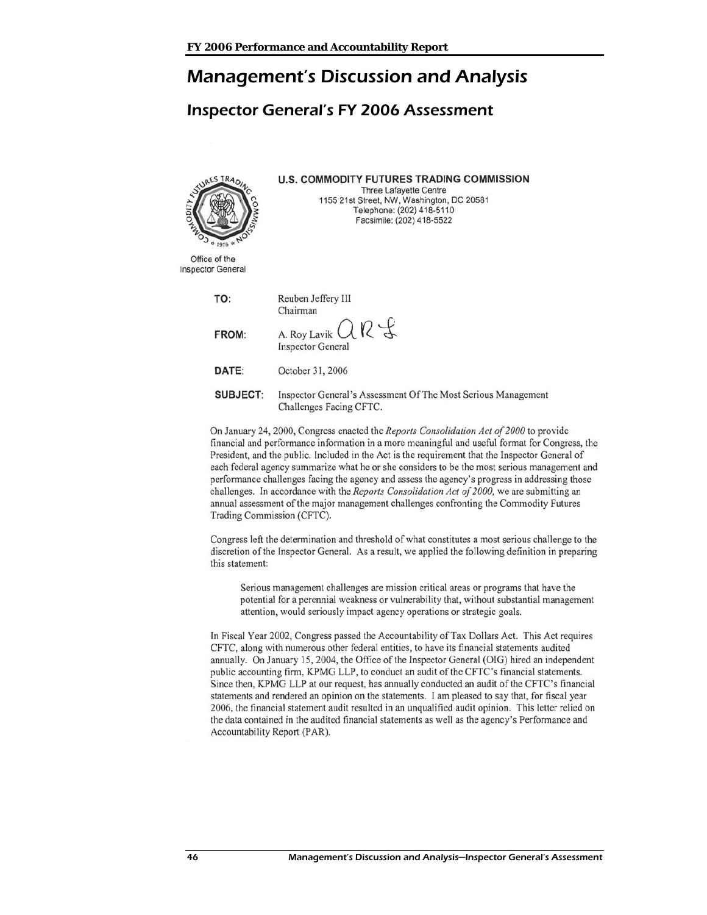# Management's Discussion and Analysis

# Inspector General's FY 2006 Assessment

| WURES TRADI<br><b>ELOS &amp; 1976 &amp; NI</b> | <b>U.S. COMMODITY FUTURES TRADING COMMISSION</b><br>Three Lafayette Centre<br>1155 21st Street, NW, Washington, DC 20581<br>Telephone: (202) 418-5110<br>Facsimile: (202) 418-5522 |
|------------------------------------------------|------------------------------------------------------------------------------------------------------------------------------------------------------------------------------------|
| Office of the<br>Inspector General             |                                                                                                                                                                                    |
| TO:                                            | Reuben Jeffery III<br>Chairman                                                                                                                                                     |
| FROM:                                          | A. Roy Lavik $OR \nless$<br><b>Inspector General</b>                                                                                                                               |
| DATE:                                          | October 31, 2006                                                                                                                                                                   |
| SUBJECT:                                       | Inspector General's Assessment Of The Most Serious Management<br>Challenges Facing CFTC.                                                                                           |
|                                                |                                                                                                                                                                                    |

On January 24, 2000, Congress enacted the Reports Consolidation Act of 2000 to provide financial and performance information in a more meaningful and useful format for Congress, the President, and the public. Included in the Act is the requirement that the Inspector General of each federal agency summarize what he or she considers to be the most serious management and performance challenges facing the agency and assess the agency's progress in addressing those challenges. In accordance with the *Reports Consolidation Act of 2000*, we are submitting an annual assessment of the major management challenges confronting the Commodity Futures Trading Commission (CFTC).

Congress left the determination and threshold of what constitutes a most serious challenge to the discretion of the Inspector General. As a result, we applied the following definition in preparing this statement:

Serious management challenges are mission critical areas or programs that have the potential for a perennial weakness or vulnerability that, without substantial management attention, would seriously impact agency operations or strategic goals.

In Fiscal Year 2002, Congress passed the Accountability of Tax Dollars Act. This Act requires CFTC, along with numerous other federal entities, to have its financial statements audited annually. On January 15, 2004, the Office of the Inspector General (OIG) hired an independent public accounting firm, KPMG LLP, to conduct an audit of the CFTC's financial statements. Since then, KPMG LLP at our request, has annually conducted an audit of the CFTC's financial statements and rendered an opinion on the statements. I am pleased to say that, for fiscal year 2006, the financial statement audit resulted in an unqualified audit opinion. This letter relied on the data contained in the audited financial statements as well as the agency's Performance and Accountability Report (PAR).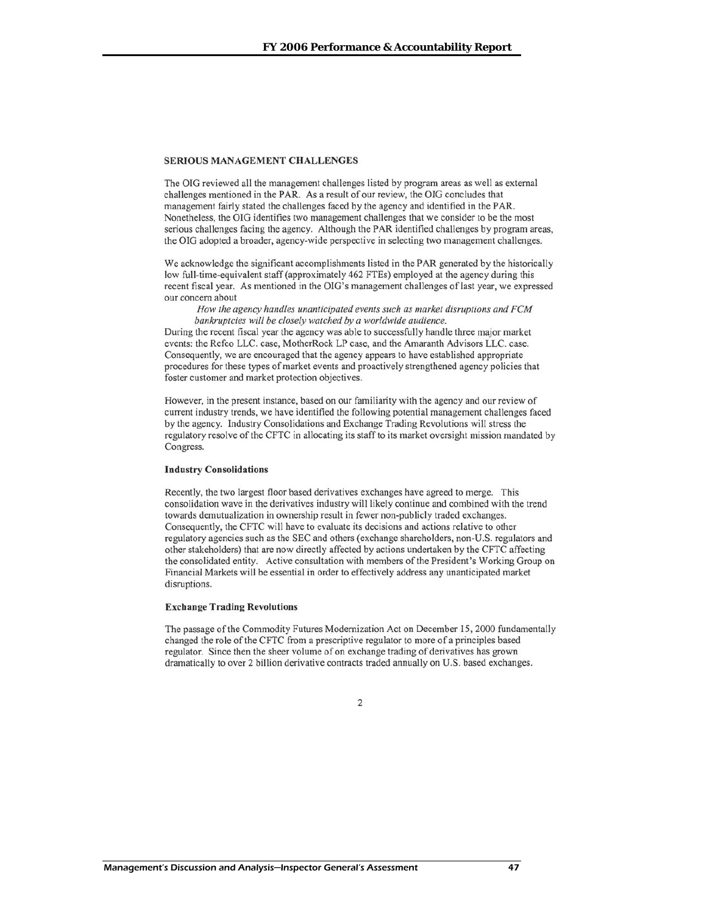### **SERIOUS MANAGEMENT CHALLENGES**

The OIG reviewed all the management challenges listed by program areas as well as external challenges mentioned in the PAR. As a result of our review, the OIG concludes that management fairly stated the challenges faced by the agency and identified in the PAR. Nonetheless, the OIG identifies two management challenges that we consider to be the most serious challenges facing the agency. Although the PAR identified challenges by program areas, the OIG adopted a broader, agency-wide perspective in selecting two management challenges.

We acknowledge the significant accomplishments listed in the PAR generated by the historically low full-time-equivalent staff (approximately 462 FTEs) employed at the agency during this recent fiscal year. As mentioned in the OIG's management challenges of last year, we expressed our concern about

How the agency handles unanticipated events such as market disruptions and FCM bankruptcies will be closely watched by a worldwide audience.

During the recent fiscal year the agency was able to successfully handle three major market events: the Refco LLC. case, MotherRock LP case, and the Amaranth Advisors LLC. case. Consequently, we are encouraged that the agency appears to have established appropriate procedures for these types of market events and proactively strengthened agency policies that foster customer and market protection objectives.

However, in the present instance, based on our familiarity with the agency and our review of current industry trends, we have identified the following potential management challenges faced by the agency. Industry Consolidations and Exchange Trading Revolutions will stress the regulatory resolve of the CFTC in allocating its staff to its market oversight mission mandated by Congress.

#### **Industry Consolidations**

Recently, the two largest floor based derivatives exchanges have agreed to merge. This consolidation wave in the derivatives industry will likely continue and combined with the trend towards demutualization in ownership result in fewer non-publicly traded exchanges. Consequently, the CFTC will have to evaluate its decisions and actions relative to other regulatory agencies such as the SEC and others (exchange shareholders, non-U.S. regulators and other stakeholders) that are now directly affected by actions undertaken by the CFTC affecting the consolidated entity. Active consultation with members of the President's Working Group on Financial Markets will be essential in order to effectively address any unanticipated market disruptions.

### **Exchange Trading Revolutions**

The passage of the Commodity Futures Modernization Act on December 15, 2000 fundamentally changed the role of the CFTC from a prescriptive regulator to more of a principles based regulator. Since then the sheer volume of on exchange trading of derivatives has grown dramatically to over 2 billion derivative contracts traded annually on U.S. based exchanges.

#### $\overline{2}$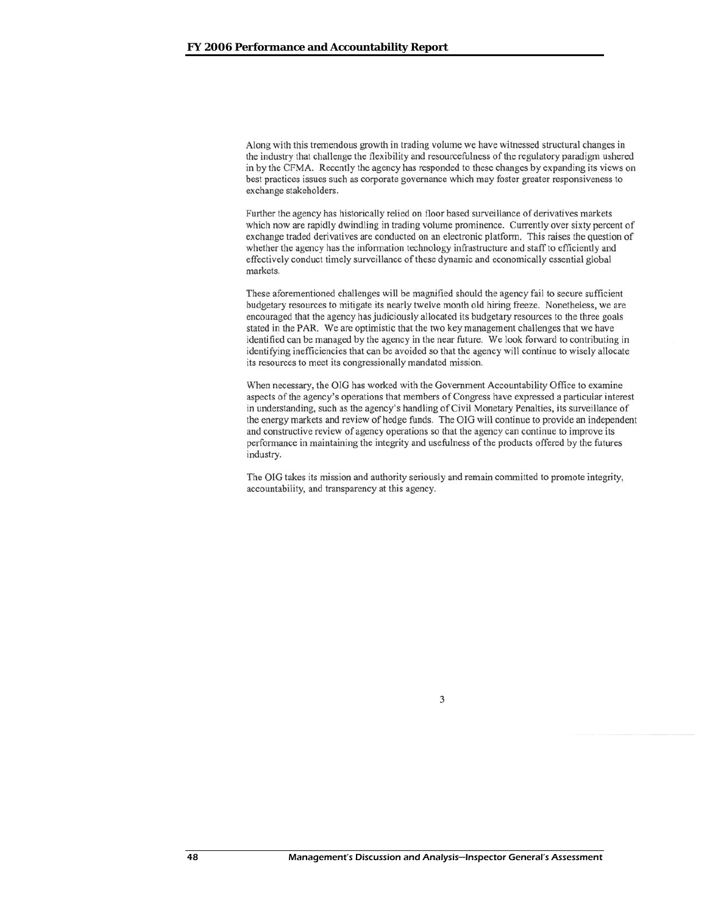Along with this tremendous growth in trading volume we have witnessed structural changes in the industry that challenge the flexibility and resourcefulness of the regulatory paradigm ushered in by the CFMA. Recently the agency has responded to these changes by expanding its views on best practices issues such as corporate governance which may foster greater responsiveness to exchange stakeholders.

Further the agency has historically relied on floor based surveillance of derivatives markets which now are rapidly dwindling in trading volume prominence. Currently over sixty percent of exchange traded derivatives are conducted on an electronic platform. This raises the question of whether the agency has the information technology infrastructure and staff to efficiently and effectively conduct timely surveillance of these dynamic and economically essential global markets.

These aforementioned challenges will be magnified should the agency fail to secure sufficient budgetary resources to mitigate its nearly twelve month old hiring freeze. Nonetheless, we are encouraged that the agency has judiciously allocated its budgetary resources to the three goals stated in the PAR. We are optimistic that the two key management challenges that we have identified can be managed by the agency in the near future. We look forward to contributing in identifying inefficiencies that can be avoided so that the agency will continue to wisely allocate its resources to meet its congressionally mandated mission.

When necessary, the OIG has worked with the Government Accountability Office to examine aspects of the agency's operations that members of Congress have expressed a particular interest in understanding, such as the agency's handling of Civil Monetary Penalties, its surveillance of the energy markets and review of hedge funds. The OIG will continue to provide an independent and constructive review of agency operations so that the agency can continue to improve its performance in maintaining the integrity and usefulness of the products offered by the futures industry.

The OIG takes its mission and authority seriously and remain committed to promote integrity, accountability, and transparency at this agency.

3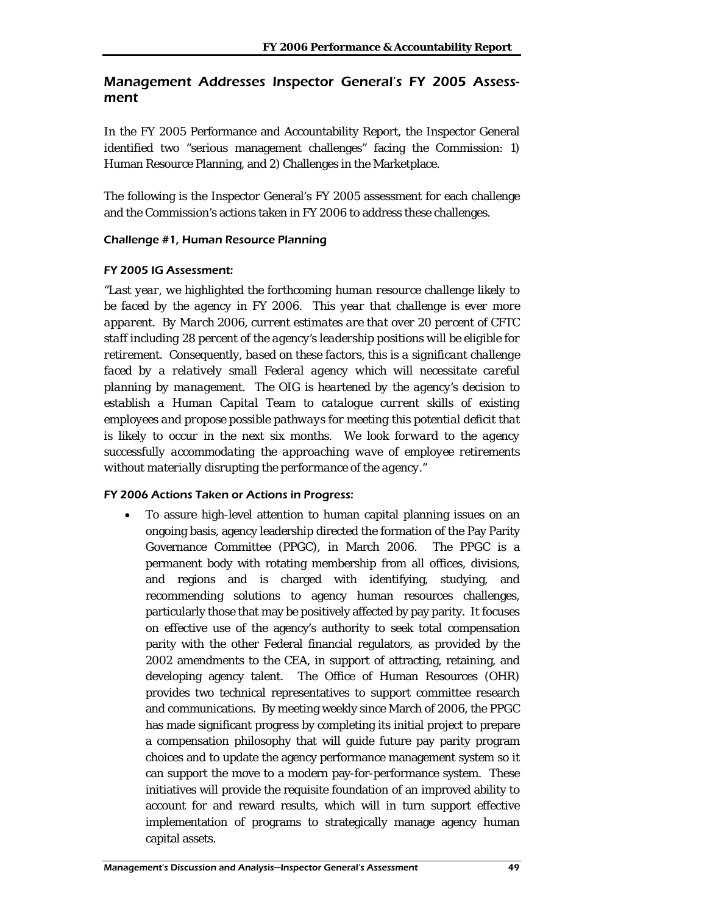# Management Addresses Inspector General's FY 2005 Assessment

In the FY 2005 Performance and Accountability Report, the Inspector General identified two "serious management challenges" facing the Commission: 1) Human Resource Planning, and 2) Challenges in the Marketplace.

The following is the Inspector General's FY 2005 assessment for each challenge and the Commission's actions taken in FY 2006 to address these challenges.

# Challenge #1, Human Resource Planning

# FY 2005 IG Assessment:

*"Last year, we highlighted the forthcoming human resource challenge likely to be faced by the agency in FY 2006. This year that challenge is ever more apparent. By March 2006, current estimates are that over 20 percent of CFTC staff including 28 percent of the agency's leadership positions will be eligible for retirement. Consequently, based on these factors, this is a significant challenge faced by a relatively small Federal agency which will necessitate careful planning by management. The OIG is heartened by the agency's decision to establish a Human Capital Team to catalogue current skills of existing employees and propose possible pathways for meeting this potential deficit that is likely to occur in the next six months. We look forward to the agency successfully accommodating the approaching wave of employee retirements without materially disrupting the performance of the agency."* 

# FY 2006 Actions Taken or Actions in Progress:

• To assure high-level attention to human capital planning issues on an ongoing basis, agency leadership directed the formation of the Pay Parity Governance Committee (PPGC), in March 2006. The PPGC is a permanent body with rotating membership from all offices, divisions, and regions and is charged with identifying, studying, and recommending solutions to agency human resources challenges, particularly those that may be positively affected by pay parity. It focuses on effective use of the agency's authority to seek total compensation parity with the other Federal financial regulators, as provided by the 2002 amendments to the CEA, in support of attracting, retaining, and developing agency talent. The Office of Human Resources (OHR) provides two technical representatives to support committee research and communications. By meeting weekly since March of 2006, the PPGC has made significant progress by completing its initial project to prepare a compensation philosophy that will guide future pay parity program choices and to update the agency performance management system so it can support the move to a modern pay-for-performance system. These initiatives will provide the requisite foundation of an improved ability to account for and reward results, which will in turn support effective implementation of programs to strategically manage agency human capital assets.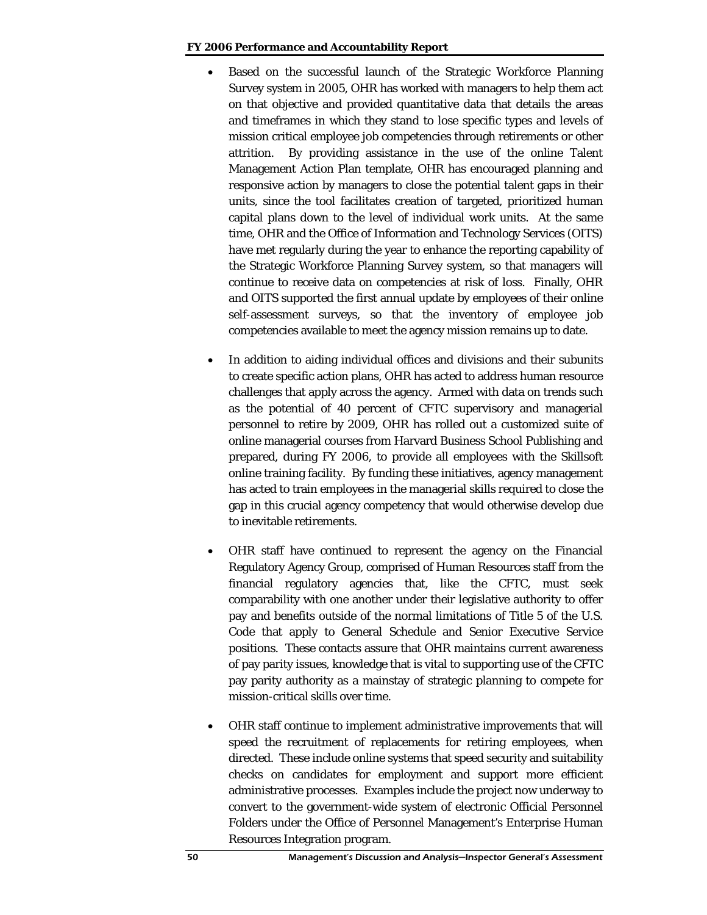### **FY 2006 Performance and Accountability Report**

- Based on the successful launch of the Strategic Workforce Planning Survey system in 2005, OHR has worked with managers to help them act on that objective and provided quantitative data that details the areas and timeframes in which they stand to lose specific types and levels of mission critical employee job competencies through retirements or other attrition. By providing assistance in the use of the online Talent Management Action Plan template, OHR has encouraged planning and responsive action by managers to close the potential talent gaps in their units, since the tool facilitates creation of targeted, prioritized human capital plans down to the level of individual work units. At the same time, OHR and the Office of Information and Technology Services (OITS) have met regularly during the year to enhance the reporting capability of the Strategic Workforce Planning Survey system, so that managers will continue to receive data on competencies at risk of loss. Finally, OHR and OITS supported the first annual update by employees of their online self-assessment surveys, so that the inventory of employee job competencies available to meet the agency mission remains up to date.
- In addition to aiding individual offices and divisions and their subunits to create specific action plans, OHR has acted to address human resource challenges that apply across the agency. Armed with data on trends such as the potential of 40 percent of CFTC supervisory and managerial personnel to retire by 2009, OHR has rolled out a customized suite of online managerial courses from Harvard Business School Publishing and prepared, during FY 2006, to provide all employees with the Skillsoft online training facility. By funding these initiatives, agency management has acted to train employees in the managerial skills required to close the gap in this crucial agency competency that would otherwise develop due to inevitable retirements.
- OHR staff have continued to represent the agency on the Financial Regulatory Agency Group, comprised of Human Resources staff from the financial regulatory agencies that, like the CFTC, must seek comparability with one another under their legislative authority to offer pay and benefits outside of the normal limitations of Title 5 of the U.S. Code that apply to General Schedule and Senior Executive Service positions. These contacts assure that OHR maintains current awareness of pay parity issues, knowledge that is vital to supporting use of the CFTC pay parity authority as a mainstay of strategic planning to compete for mission-critical skills over time.
- OHR staff continue to implement administrative improvements that will speed the recruitment of replacements for retiring employees, when directed. These include online systems that speed security and suitability checks on candidates for employment and support more efficient administrative processes. Examples include the project now underway to convert to the government-wide system of electronic Official Personnel Folders under the Office of Personnel Management's Enterprise Human Resources Integration program.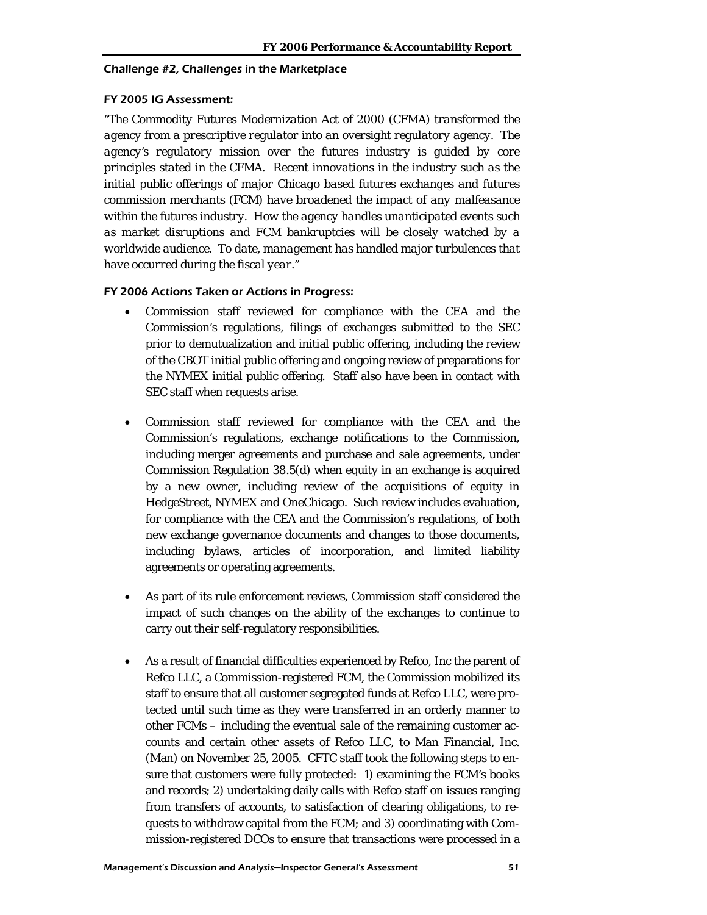### Challenge #2, Challenges in the Marketplace

### FY 2005 IG Assessment:

*"The Commodity Futures Modernization Act of 2000 (CFMA) transformed the agency from a prescriptive regulator into an oversight regulatory agency. The agency's regulatory mission over the futures industry is guided by core principles stated in the CFMA. Recent innovations in the industry such as the initial public offerings of major Chicago based futures exchanges and futures commission merchants (FCM) have broadened the impact of any malfeasance within the futures industry. How the agency handles unanticipated events such as market disruptions and FCM bankruptcies will be closely watched by a worldwide audience. To date, management has handled major turbulences that have occurred during the fiscal year."* 

## FY 2006 Actions Taken or Actions in Progress:

- Commission staff reviewed for compliance with the CEA and the Commission's regulations, filings of exchanges submitted to the SEC prior to demutualization and initial public offering, including the review of the CBOT initial public offering and ongoing review of preparations for the NYMEX initial public offering. Staff also have been in contact with SEC staff when requests arise.
- Commission staff reviewed for compliance with the CEA and the Commission's regulations, exchange notifications to the Commission, including merger agreements and purchase and sale agreements, under Commission Regulation 38.5(d) when equity in an exchange is acquired by a new owner, including review of the acquisitions of equity in HedgeStreet, NYMEX and OneChicago. Such review includes evaluation, for compliance with the CEA and the Commission's regulations, of both new exchange governance documents and changes to those documents, including bylaws, articles of incorporation, and limited liability agreements or operating agreements.
- As part of its rule enforcement reviews, Commission staff considered the impact of such changes on the ability of the exchanges to continue to carry out their self-regulatory responsibilities.
- As a result of financial difficulties experienced by Refco, Inc the parent of Refco LLC, a Commission-registered FCM, the Commission mobilized its staff to ensure that all customer segregated funds at Refco LLC, were protected until such time as they were transferred in an orderly manner to other FCMs – including the eventual sale of the remaining customer accounts and certain other assets of Refco LLC, to Man Financial, Inc. (Man) on November 25, 2005. CFTC staff took the following steps to ensure that customers were fully protected: 1) examining the FCM's books and records; 2) undertaking daily calls with Refco staff on issues ranging from transfers of accounts, to satisfaction of clearing obligations, to requests to withdraw capital from the FCM; and 3) coordinating with Commission-registered DCOs to ensure that transactions were processed in a